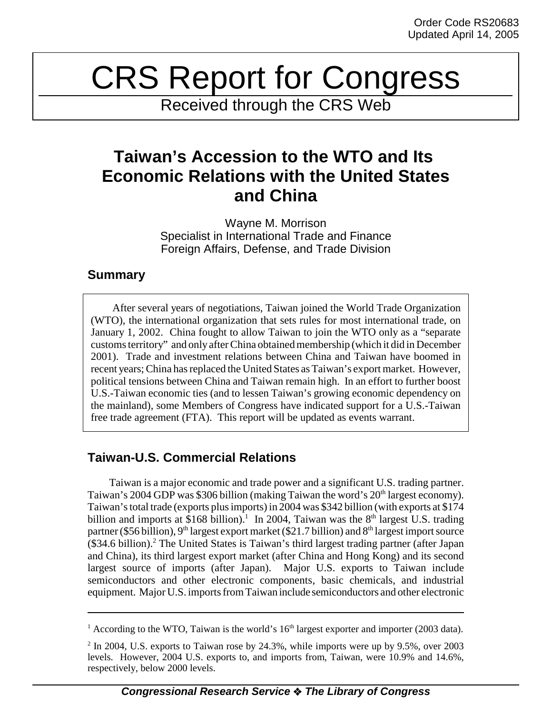# CRS Report for Congress

Received through the CRS Web

## **Taiwan's Accession to the WTO and Its Economic Relations with the United States and China**

Wayne M. Morrison Specialist in International Trade and Finance Foreign Affairs, Defense, and Trade Division

## **Summary**

After several years of negotiations, Taiwan joined the World Trade Organization (WTO), the international organization that sets rules for most international trade, on January 1, 2002. China fought to allow Taiwan to join the WTO only as a "separate customs territory" and only after China obtained membership (which it did in December 2001). Trade and investment relations between China and Taiwan have boomed in recent years; China has replaced the United States as Taiwan's export market. However, political tensions between China and Taiwan remain high. In an effort to further boost U.S.-Taiwan economic ties (and to lessen Taiwan's growing economic dependency on the mainland), some Members of Congress have indicated support for a U.S.-Taiwan free trade agreement (FTA). This report will be updated as events warrant.

## **Taiwan-U.S. Commercial Relations**

Taiwan is a major economic and trade power and a significant U.S. trading partner. Taiwan's 2004 GDP was \$306 billion (making Taiwan the word's 20<sup>th</sup> largest economy). Taiwan's total trade (exports plus imports) in 2004 was \$342 billion (with exports at \$174 billion and imports at \$168 billion).<sup>1</sup> In 2004, Taiwan was the  $8<sup>th</sup>$  largest U.S. trading partner (\$56 billion), 9<sup>th</sup> largest export market (\$21.7 billion) and 8<sup>th</sup> largest import source (\$34.6 billion).<sup>2</sup> The United States is Taiwan's third largest trading partner (after Japan and China), its third largest export market (after China and Hong Kong) and its second largest source of imports (after Japan). Major U.S. exports to Taiwan include semiconductors and other electronic components, basic chemicals, and industrial equipment. Major U.S. imports from Taiwan include semiconductors and other electronic

<sup>&</sup>lt;sup>1</sup> According to the WTO, Taiwan is the world's  $16<sup>th</sup>$  largest exporter and importer (2003 data).

<sup>&</sup>lt;sup>2</sup> In 2004, U.S. exports to Taiwan rose by 24.3%, while imports were up by 9.5%, over 2003 levels. However, 2004 U.S. exports to, and imports from, Taiwan, were 10.9% and 14.6%, respectively, below 2000 levels.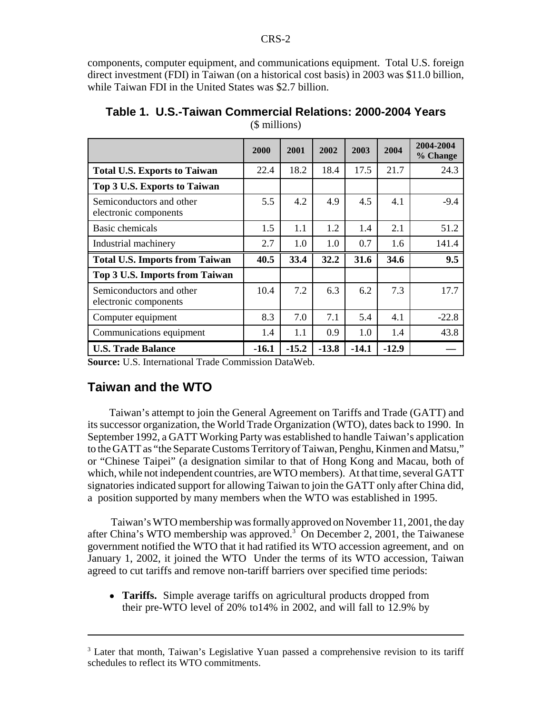components, computer equipment, and communications equipment. Total U.S. foreign direct investment (FDI) in Taiwan (on a historical cost basis) in 2003 was \$11.0 billion, while Taiwan FDI in the United States was \$2.7 billion.

|                                                   | 2000    | 2001    | 2002    | 2003    | 2004    | 2004-2004<br>% Change |
|---------------------------------------------------|---------|---------|---------|---------|---------|-----------------------|
| <b>Total U.S. Exports to Taiwan</b>               | 22.4    | 18.2    | 18.4    | 17.5    | 21.7    | 24.3                  |
| Top 3 U.S. Exports to Taiwan                      |         |         |         |         |         |                       |
| Semiconductors and other<br>electronic components | 5.5     | 4.2     | 4.9     | 4.5     | 4.1     | $-9.4$                |
| <b>Basic chemicals</b>                            | 1.5     | 1.1     | 1.2     | 1.4     | 2.1     | 51.2                  |
| Industrial machinery                              | 2.7     | 1.0     | 1.0     | 0.7     | 1.6     | 141.4                 |
| <b>Total U.S. Imports from Taiwan</b>             | 40.5    | 33.4    | 32.2    | 31.6    | 34.6    | 9.5                   |
| Top 3 U.S. Imports from Taiwan                    |         |         |         |         |         |                       |
| Semiconductors and other<br>electronic components | 10.4    | 7.2     | 6.3     | 6.2     | 7.3     | 17.7                  |
| Computer equipment                                | 8.3     | 7.0     | 7.1     | 5.4     | 4.1     | $-22.8$               |
| Communications equipment                          | 1.4     | 1.1     | 0.9     | 1.0     | 1.4     | 43.8                  |
| <b>U.S. Trade Balance</b>                         | $-16.1$ | $-15.2$ | $-13.8$ | $-14.1$ | $-12.9$ |                       |

**Table 1. U.S.-Taiwan Commercial Relations: 2000-2004 Years** (\$ millions)

**Source:** U.S. International Trade Commission DataWeb.

### **Taiwan and the WTO**

Taiwan's attempt to join the General Agreement on Tariffs and Trade (GATT) and its successor organization, the World Trade Organization (WTO), dates back to 1990. In September 1992, a GATT Working Party was established to handle Taiwan's application to the GATT as "the Separate Customs Territory of Taiwan, Penghu, Kinmen and Matsu," or "Chinese Taipei" (a designation similar to that of Hong Kong and Macau, both of which, while not independent countries, are WTO members). At that time, several GATT signatories indicated support for allowing Taiwan to join the GATT only after China did, a position supported by many members when the WTO was established in 1995.

 Taiwan's WTO membership was formally approved on November 11, 2001, the day after China's WTO membership was approved.<sup>3</sup> On December 2, 2001, the Taiwanese government notified the WTO that it had ratified its WTO accession agreement, and on January 1, 2002, it joined the WTO Under the terms of its WTO accession, Taiwan agreed to cut tariffs and remove non-tariff barriers over specified time periods:

! **Tariffs.** Simple average tariffs on agricultural products dropped from their pre-WTO level of 20% to14% in 2002, and will fall to 12.9% by

<sup>&</sup>lt;sup>3</sup> Later that month, Taiwan's Legislative Yuan passed a comprehensive revision to its tariff schedules to reflect its WTO commitments.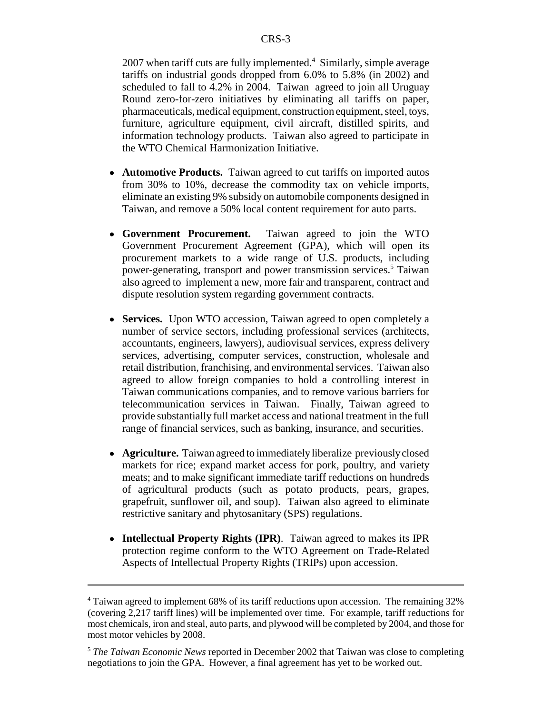2007 when tariff cuts are fully implemented.<sup>4</sup> Similarly, simple average tariffs on industrial goods dropped from 6.0% to 5.8% (in 2002) and scheduled to fall to 4.2% in 2004. Taiwan agreed to join all Uruguay Round zero-for-zero initiatives by eliminating all tariffs on paper, pharmaceuticals, medical equipment, construction equipment, steel, toys, furniture, agriculture equipment, civil aircraft, distilled spirits, and information technology products. Taiwan also agreed to participate in the WTO Chemical Harmonization Initiative.

- ! **Automotive Products.** Taiwan agreed to cut tariffs on imported autos from 30% to 10%, decrease the commodity tax on vehicle imports, eliminate an existing 9% subsidy on automobile components designed in Taiwan, and remove a 50% local content requirement for auto parts.
- ! **Government Procurement.** Taiwan agreed to join the WTO Government Procurement Agreement (GPA), which will open its procurement markets to a wide range of U.S. products, including power-generating, transport and power transmission services.<sup>5</sup> Taiwan also agreed to implement a new, more fair and transparent, contract and dispute resolution system regarding government contracts.
- ! **Services.** Upon WTO accession, Taiwan agreed to open completely a number of service sectors, including professional services (architects, accountants, engineers, lawyers), audiovisual services, express delivery services, advertising, computer services, construction, wholesale and retail distribution, franchising, and environmental services. Taiwan also agreed to allow foreign companies to hold a controlling interest in Taiwan communications companies, and to remove various barriers for telecommunication services in Taiwan. Finally, Taiwan agreed to provide substantially full market access and national treatment in the full range of financial services, such as banking, insurance, and securities.
- ! **Agriculture.** Taiwan agreed to immediately liberalize previously closed markets for rice; expand market access for pork, poultry, and variety meats; and to make significant immediate tariff reductions on hundreds of agricultural products (such as potato products, pears, grapes, grapefruit, sunflower oil, and soup). Taiwan also agreed to eliminate restrictive sanitary and phytosanitary (SPS) regulations.
- ! **Intellectual Property Rights (IPR)**. Taiwan agreed to makes its IPR protection regime conform to the WTO Agreement on Trade-Related Aspects of Intellectual Property Rights (TRIPs) upon accession.

<sup>&</sup>lt;sup>4</sup> Taiwan agreed to implement 68% of its tariff reductions upon accession. The remaining 32% (covering 2,217 tariff lines) will be implemented over time. For example, tariff reductions for most chemicals, iron and steal, auto parts, and plywood will be completed by 2004, and those for most motor vehicles by 2008.

<sup>5</sup> *The Taiwan Economic News* reported in December 2002 that Taiwan was close to completing negotiations to join the GPA. However, a final agreement has yet to be worked out.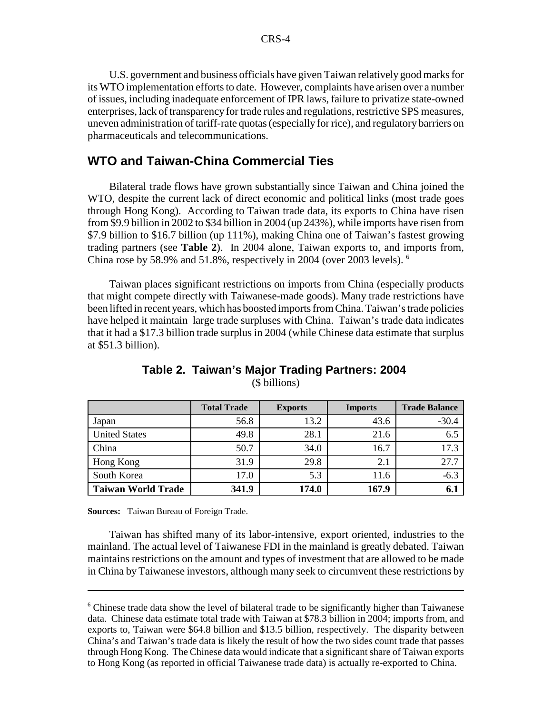U.S. government and business officials have given Taiwan relatively good marks for its WTO implementation efforts to date. However, complaints have arisen over a number of issues, including inadequate enforcement of IPR laws, failure to privatize state-owned enterprises, lack of transparency for trade rules and regulations, restrictive SPS measures, uneven administration of tariff-rate quotas (especially for rice), and regulatory barriers on pharmaceuticals and telecommunications.

#### **WTO and Taiwan-China Commercial Ties**

Bilateral trade flows have grown substantially since Taiwan and China joined the WTO, despite the current lack of direct economic and political links (most trade goes through Hong Kong). According to Taiwan trade data, its exports to China have risen from \$9.9 billion in 2002 to \$34 billion in 2004 (up 243%), while imports have risen from \$7.9 billion to \$16.7 billion (up 111%), making China one of Taiwan's fastest growing trading partners (see **Table 2**). In 2004 alone, Taiwan exports to, and imports from, China rose by 58.9% and 51.8%, respectively in 2004 (over 2003 levels). 6

Taiwan places significant restrictions on imports from China (especially products that might compete directly with Taiwanese-made goods). Many trade restrictions have been lifted in recent years, which has boosted imports from China. Taiwan's trade policies have helped it maintain large trade surpluses with China. Taiwan's trade data indicates that it had a \$17.3 billion trade surplus in 2004 (while Chinese data estimate that surplus at \$51.3 billion).

|                           | <b>Total Trade</b> | <b>Exports</b> | <b>Imports</b> | <b>Trade Balance</b> |
|---------------------------|--------------------|----------------|----------------|----------------------|
| Japan                     | 56.8               | 13.2           | 43.6           | $-30.4$              |
| <b>United States</b>      | 49.8               | 28.1           | 21.6           | 6.5                  |
| China                     | 50.7               | 34.0           | 16.7           | 17.3                 |
| Hong Kong                 | 31.9               | 29.8           | 2.1            | 27.7                 |
| South Korea               | 17.0               | 5.3            | 11.6           | $-6.3$               |
| <b>Taiwan World Trade</b> | 341.9              | 174.0          | 167.9          | 6.1                  |

#### **Table 2. Taiwan's Major Trading Partners: 2004**  (\$ billions)

**Sources:** Taiwan Bureau of Foreign Trade.

Taiwan has shifted many of its labor-intensive, export oriented, industries to the mainland. The actual level of Taiwanese FDI in the mainland is greatly debated. Taiwan maintains restrictions on the amount and types of investment that are allowed to be made in China by Taiwanese investors, although many seek to circumvent these restrictions by

<sup>&</sup>lt;sup>6</sup> Chinese trade data show the level of bilateral trade to be significantly higher than Taiwanese data. Chinese data estimate total trade with Taiwan at \$78.3 billion in 2004; imports from, and exports to, Taiwan were \$64.8 billion and \$13.5 billion, respectively. The disparity between China's and Taiwan's trade data is likely the result of how the two sides count trade that passes through Hong Kong. The Chinese data would indicate that a significant share of Taiwan exports to Hong Kong (as reported in official Taiwanese trade data) is actually re-exported to China.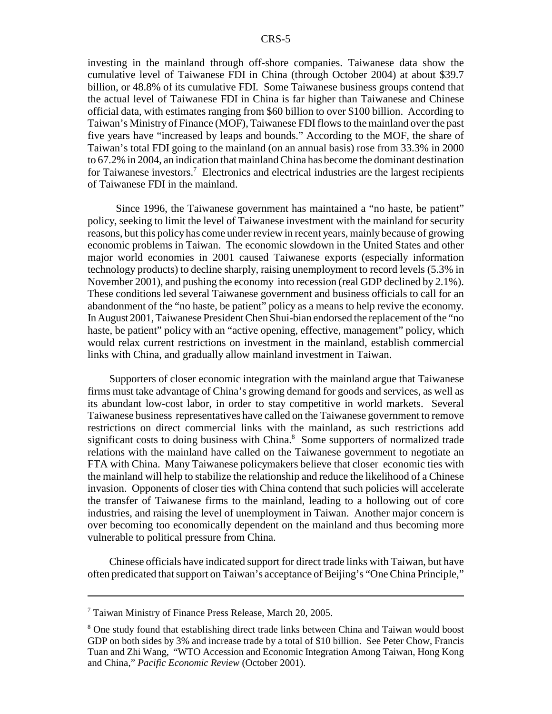investing in the mainland through off-shore companies. Taiwanese data show the cumulative level of Taiwanese FDI in China (through October 2004) at about \$39.7 billion, or 48.8% of its cumulative FDI. Some Taiwanese business groups contend that the actual level of Taiwanese FDI in China is far higher than Taiwanese and Chinese official data, with estimates ranging from \$60 billion to over \$100 billion. According to Taiwan's Ministry of Finance (MOF), Taiwanese FDI flows to the mainland over the past five years have "increased by leaps and bounds." According to the MOF, the share of Taiwan's total FDI going to the mainland (on an annual basis) rose from 33.3% in 2000 to 67.2% in 2004, an indication that mainland China has become the dominant destination for Taiwanese investors.<sup>7</sup> Electronics and electrical industries are the largest recipients of Taiwanese FDI in the mainland.

 Since 1996, the Taiwanese government has maintained a "no haste, be patient" policy, seeking to limit the level of Taiwanese investment with the mainland for security reasons, but this policy has come under review in recent years, mainly because of growing economic problems in Taiwan. The economic slowdown in the United States and other major world economies in 2001 caused Taiwanese exports (especially information technology products) to decline sharply, raising unemployment to record levels (5.3% in November 2001), and pushing the economy into recession (real GDP declined by 2.1%). These conditions led several Taiwanese government and business officials to call for an abandonment of the "no haste, be patient" policy as a means to help revive the economy. In August 2001, Taiwanese President Chen Shui-bian endorsed the replacement of the "no haste, be patient" policy with an "active opening, effective, management" policy, which would relax current restrictions on investment in the mainland, establish commercial links with China, and gradually allow mainland investment in Taiwan.

Supporters of closer economic integration with the mainland argue that Taiwanese firms must take advantage of China's growing demand for goods and services, as well as its abundant low-cost labor, in order to stay competitive in world markets. Several Taiwanese business representatives have called on the Taiwanese government to remove restrictions on direct commercial links with the mainland, as such restrictions add significant costs to doing business with China.<sup>8</sup> Some supporters of normalized trade relations with the mainland have called on the Taiwanese government to negotiate an FTA with China. Many Taiwanese policymakers believe that closer economic ties with the mainland will help to stabilize the relationship and reduce the likelihood of a Chinese invasion. Opponents of closer ties with China contend that such policies will accelerate the transfer of Taiwanese firms to the mainland, leading to a hollowing out of core industries, and raising the level of unemployment in Taiwan. Another major concern is over becoming too economically dependent on the mainland and thus becoming more vulnerable to political pressure from China.

Chinese officials have indicated support for direct trade links with Taiwan, but have often predicated that support on Taiwan's acceptance of Beijing's "One China Principle,"

<sup>7</sup> Taiwan Ministry of Finance Press Release, March 20, 2005.

<sup>&</sup>lt;sup>8</sup> One study found that establishing direct trade links between China and Taiwan would boost GDP on both sides by 3% and increase trade by a total of \$10 billion. See Peter Chow, Francis Tuan and Zhi Wang, "WTO Accession and Economic Integration Among Taiwan, Hong Kong and China," *Pacific Economic Review* (October 2001).